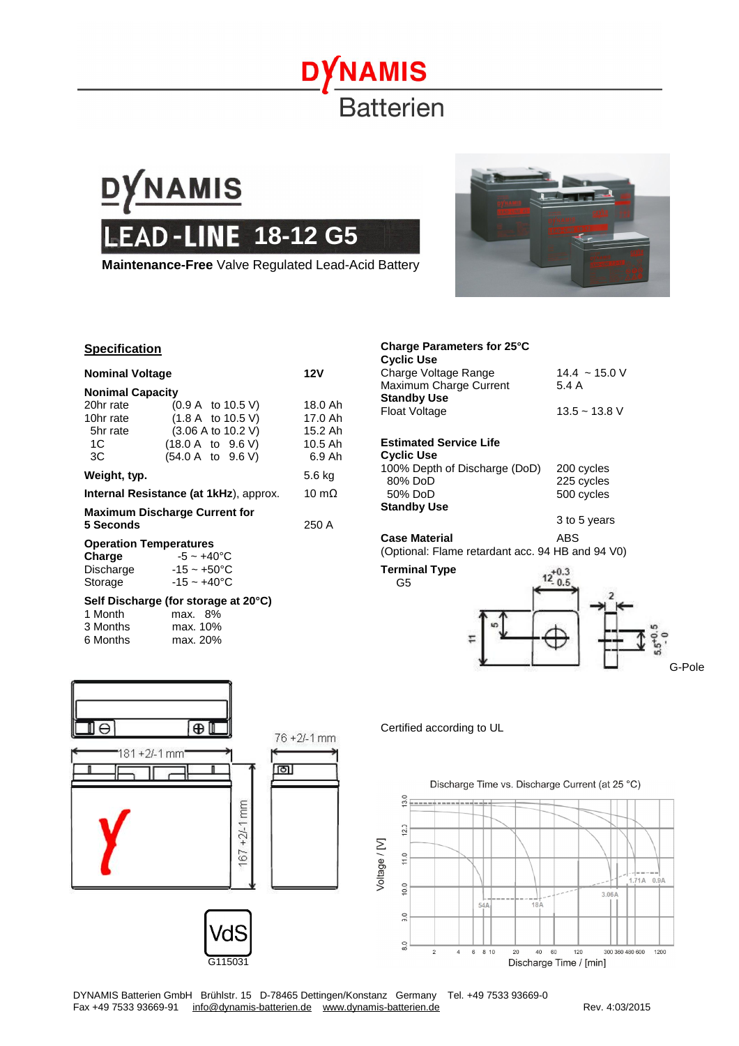## **NAMIS Batterien**



**Maintenance-Free** Valve Regulated Lead-Acid Battery



## **Specification**

| <b>Nominal Voltage</b>                                          |                                                                                                                                      | 12V                                                  |
|-----------------------------------------------------------------|--------------------------------------------------------------------------------------------------------------------------------------|------------------------------------------------------|
| <b>Nonimal Capacity</b>                                         |                                                                                                                                      |                                                      |
| 20hr rate<br>10hr rate<br>5hr rate<br>1C<br>ЗC                  | $(0.9 A \text{ to } 10.5 V)$<br>(1.8 A to 10.5 V)<br>$(3.06 \text{ A to } 10.2 \text{ V})$<br>(18.0 A to 9.6 V)<br>(54.0 A to 9.6 V) | 18.0 Ah<br>17.0 Ah<br>15.2 Ah<br>$10.5$ Ah<br>6.9 Ah |
| Weight, typ.                                                    |                                                                                                                                      | 5.6 kg                                               |
| <b>Internal Resistance (at 1kHz)</b> , approx.                  |                                                                                                                                      | 10 m $\Omega$                                        |
| <b>Maximum Discharge Current for</b><br>5 Seconds               | 250 A                                                                                                                                |                                                      |
| <b>Operation Temperatures</b><br>Charge<br>Discharge<br>Storage | $-5 \sim +40^{\circ}$ C<br>$-15 \thicksim +50^{\circ}$ C<br>$-15 - +40$ °C                                                           |                                                      |
| 1 Month                                                         | Self Discharge (for storage at 20°C)<br>max. 8%                                                                                      |                                                      |

|          | 111GLA. U 70 |
|----------|--------------|
| 3 Months | max. 10%     |
| 6 Months | max. 20%     |
|          |              |



**Charge Parameters for 25°C** 

(Optional: Flame retardant acc. 94 HB and 94 V0)



Certified according to UL

G5

 $\overline{\Theta}$  $\oplus$  $76 + 2/-1$  mm  $181 + 2/-1$  mm ाठा। i  $+2/1$  mm Voltage / [V] 67 ัdS G115031



DYNAMIS Batterien GmbH Brühlstr. 15 D-78465 Dettingen/Konstanz Germany Tel. +49 7533 93669-0 Fax +49 7533 93669-91 [info@dynamis-batterien.de](mailto:info@dynamis-batterien.de) [www.dynamis-batterien.de](http://www.dynamis-batterien.de) Rev. 4:03/2015